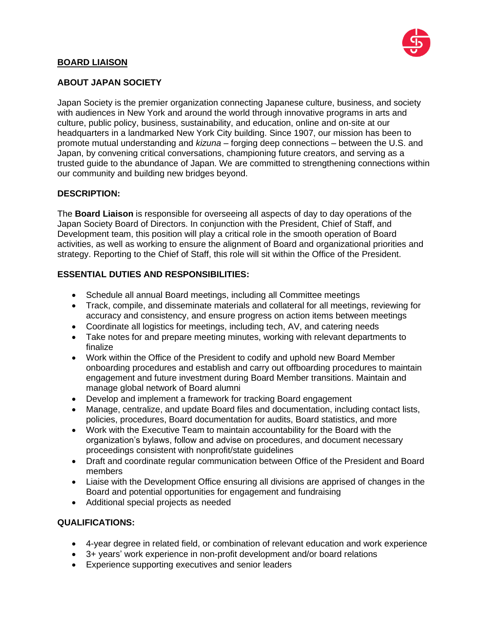

## **BOARD LIAISON**

## **ABOUT JAPAN SOCIETY**

Japan Society is the premier organization connecting Japanese culture, business, and society with audiences in New York and around the world through innovative programs in arts and culture, public policy, business, sustainability, and education, online and on-site at our headquarters in a landmarked New York City building. Since 1907, our mission has been to promote mutual understanding and *kizuna* – forging deep connections – between the U.S. and Japan, by convening critical conversations, championing future creators, and serving as a trusted guide to the abundance of Japan. We are committed to strengthening connections within our community and building new bridges beyond.

#### **DESCRIPTION:**

The **Board Liaison** is responsible for overseeing all aspects of day to day operations of the Japan Society Board of Directors. In conjunction with the President, Chief of Staff, and Development team, this position will play a critical role in the smooth operation of Board activities, as well as working to ensure the alignment of Board and organizational priorities and strategy. Reporting to the Chief of Staff, this role will sit within the Office of the President.

# **ESSENTIAL DUTIES AND RESPONSIBILITIES:**

- Schedule all annual Board meetings, including all Committee meetings
- Track, compile, and disseminate materials and collateral for all meetings, reviewing for accuracy and consistency, and ensure progress on action items between meetings
- Coordinate all logistics for meetings, including tech, AV, and catering needs
- Take notes for and prepare meeting minutes, working with relevant departments to finalize
- Work within the Office of the President to codify and uphold new Board Member onboarding procedures and establish and carry out offboarding procedures to maintain engagement and future investment during Board Member transitions. Maintain and manage global network of Board alumni
- Develop and implement a framework for tracking Board engagement
- Manage, centralize, and update Board files and documentation, including contact lists, policies, procedures, Board documentation for audits, Board statistics, and more
- Work with the Executive Team to maintain accountability for the Board with the organization's bylaws, follow and advise on procedures, and document necessary proceedings consistent with nonprofit/state guidelines
- Draft and coordinate regular communication between Office of the President and Board members
- Liaise with the Development Office ensuring all divisions are apprised of changes in the Board and potential opportunities for engagement and fundraising
- Additional special projects as needed

## **QUALIFICATIONS:**

- 4-year degree in related field, or combination of relevant education and work experience
- 3+ years' work experience in non-profit development and/or board relations
- Experience supporting executives and senior leaders